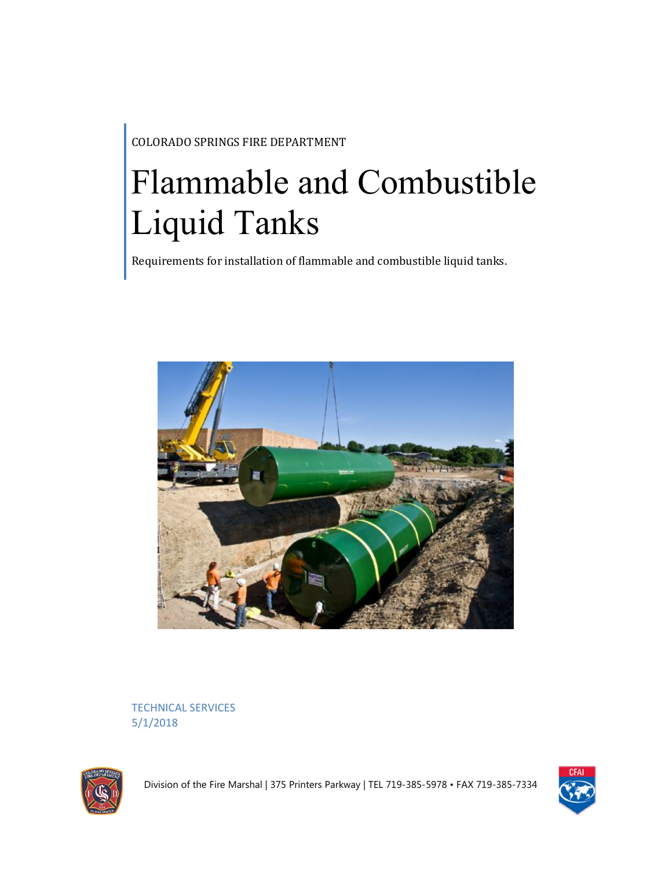COLORADO SPRINGS FIRE DEPARTMENT

# Flammable and Combustible Liquid Tanks

Requirements for installation of flammable and combustible liquid tanks.



TECHNICAL SERVICES 5/1/2018



Division of the Fire Marshal | 375 Printers Parkway | TEL 719-385-5978 • FAX 719-385-7334

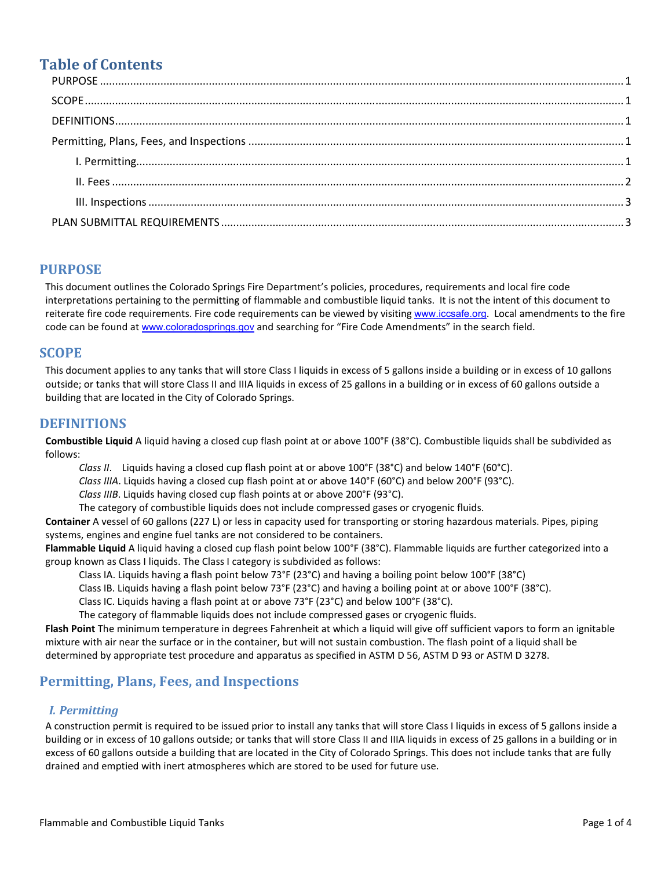## **Table of Contents**

## **PURPOSE**

This document outlines the Colorado Springs Fire Department's policies, procedures, requirements and local fire code interpretations pertaining to the permitting of flammable and combustible liquid tanks. It is not the intent of this document to reiterate fire code requirements. Fire code requirements can be viewed by visiting [www.iccsafe.org](http://www.iccsafe.org/). Local amendments to the fire code can be found at [www.coloradosprings.gov](http://www.coloradosprings.gov/) and searching for "Fire Code Amendments" in the search field.

## **SCOPE**

This document applies to any tanks that will store Class I liquids in excess of 5 gallons inside a building or in excess of 10 gallons outside; or tanks that will store Class II and IIIA liquids in excess of 25 gallons in a building or in excess of 60 gallons outside a building that are located in the City of Colorado Springs.

## **DEFINITIONS**

**Combustible Liquid** A liquid having a closed cup flash point at or above 100°F (38°C). Combustible liquids shall be subdivided as follows:

*Class II*. Liquids having a closed cup flash point at or above 100°F (38°C) and below 140°F (60°C).

*Class IIIA*. Liquids having a closed cup flash point at or above 140°F (60°C) and below 200°F (93°C).

*Class IIIB*. Liquids having closed cup flash points at or above 200°F (93°C).

The category of combustible liquids does not include compressed gases or cryogenic fluids.

**Container** A vessel of 60 gallons (227 L) or less in capacity used for transporting or storing hazardous materials. Pipes, piping systems, engines and engine fuel tanks are not considered to be containers.

**Flammable Liquid** A liquid having a closed cup flash point below 100°F (38°C). Flammable liquids are further categorized into a group known as Class I liquids. The Class I category is subdivided as follows:

Class IA. Liquids having a flash point below 73°F (23°C) and having a boiling point below 100°F (38°C)

Class IB. Liquids having a flash point below 73°F (23°C) and having a boiling point at or above 100°F (38°C).

Class IC. Liquids having a flash point at or above 73°F (23°C) and below 100°F (38°C).

The category of flammable liquids does not include compressed gases or cryogenic fluids.

**Flash Point** The minimum temperature in degrees Fahrenheit at which a liquid will give off sufficient vapors to form an ignitable mixture with air near the surface or in the container, but will not sustain combustion. The flash point of a liquid shall be determined by appropriate test procedure and apparatus as specified in ASTM D 56, ASTM D 93 or ASTM D 3278.

## **Permitting, Plans, Fees, and Inspections**

#### *I. Permitting*

A construction permit is required to be issued prior to install any tanks that will store Class I liquids in excess of 5 gallons inside a building or in excess of 10 gallons outside; or tanks that will store Class II and IIIA liquids in excess of 25 gallons in a building or in excess of 60 gallons outside a building that are located in the City of Colorado Springs. This does not include tanks that are fully drained and emptied with inert atmospheres which are stored to be used for future use.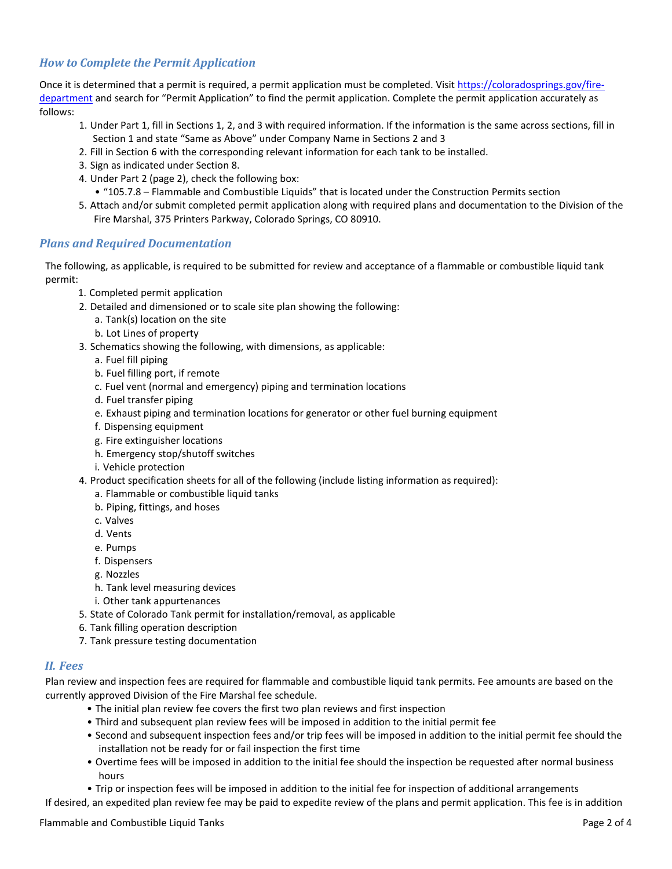#### <span id="page-2-0"></span>*How to Complete the Permit Application*

Once it is determined that a permit is required, a permit application must be completed. Visit [https://coloradosprings.gov/fire](https://coloradosprings.gov/fire-department)[department](https://coloradosprings.gov/fire-department) and search for "Permit Application" to find the permit application. Complete the permit application accurately as follows:

- 1. Under Part 1, fill in Sections 1, 2, and 3 with required information. If the information is the same across sections, fill in Section 1 and state "Same as Above" under Company Name in Sections 2 and 3
- 2. Fill in Section 6 with the corresponding relevant information for each tank to be installed.
- 3. Sign as indicated under Section 8.
- 4. Under Part 2 (page 2), check the following box:
	- "105.7.8 Flammable and Combustible Liquids" that is located under the Construction Permits section
- 5. Attach and/or submit completed permit application along with required plans and documentation to the Division of the Fire Marshal, 375 Printers Parkway, Colorado Springs, CO 80910.

#### *Plans and Required Documentation*

The following, as applicable, is required to be submitted for review and acceptance of a flammable or combustible liquid tank permit:

- 1. Completed permit application
- 2. Detailed and dimensioned or to scale site plan showing the following:
	- a. Tank(s) location on the site
	- b. Lot Lines of property
- 3. Schematics showing the following, with dimensions, as applicable:
	- a. Fuel fill piping
	- b. Fuel filling port, if remote
	- c. Fuel vent (normal and emergency) piping and termination locations
	- d. Fuel transfer piping
	- e. Exhaust piping and termination locations for generator or other fuel burning equipment
	- f. Dispensing equipment
	- g. Fire extinguisher locations
	- h. Emergency stop/shutoff switches
	- i. Vehicle protection
- 4. Product specification sheets for all of the following (include listing information as required):
	- a. Flammable or combustible liquid tanks
	- b. Piping, fittings, and hoses
	- c. Valves
	- d. Vents
	- e. Pumps
	- f. Dispensers
	- g. Nozzles
	- h. Tank level measuring devices
	- i. Other tank appurtenances
- 5. State of Colorado Tank permit for installation/removal, as applicable
- 6. Tank filling operation description
- 7. Tank pressure testing documentation

#### *II. Fees*

Plan review and inspection fees are required for flammable and combustible liquid tank permits. Fee amounts are based on the currently approved Division of the Fire Marshal fee schedule.

- The initial plan review fee covers the first two plan reviews and first inspection
- Third and subsequent plan review fees will be imposed in addition to the initial permit fee
- Second and subsequent inspection fees and/or trip fees will be imposed in addition to the initial permit fee should the installation not be ready for or fail inspection the first time
- Overtime fees will be imposed in addition to the initial fee should the inspection be requested after normal business hours
- Trip or inspection fees will be imposed in addition to the initial fee for inspection of additional arrangements

If desired, an expedited plan review fee may be paid to expedite review of the plans and permit application. This fee is in addition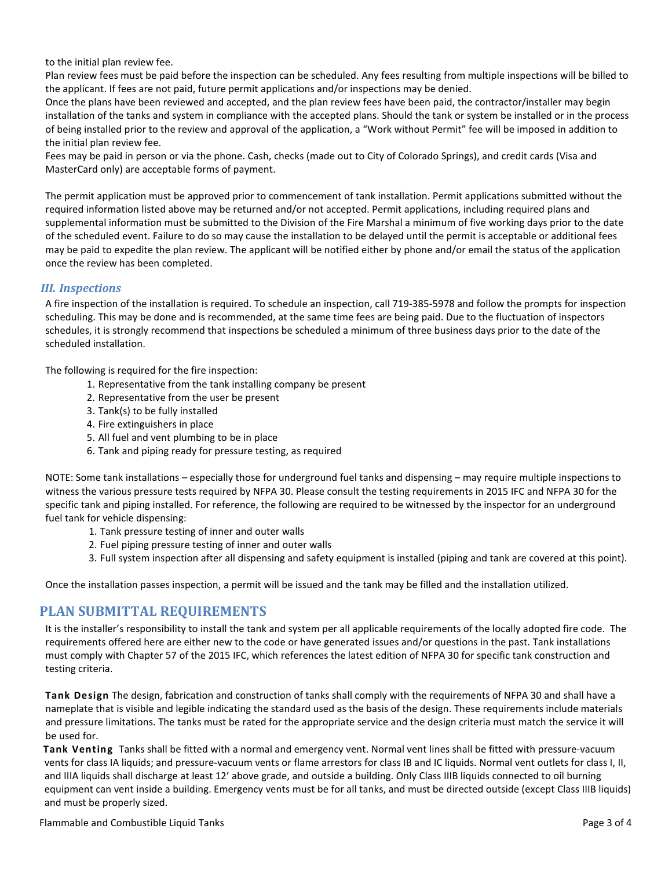<span id="page-3-0"></span>to the initial plan review fee.

Plan review fees must be paid before the inspection can be scheduled. Any fees resulting from multiple inspections will be billed to the applicant. If fees are not paid, future permit applications and/or inspections may be denied.

Once the plans have been reviewed and accepted, and the plan review fees have been paid, the contractor/installer may begin installation of the tanks and system in compliance with the accepted plans. Should the tank or system be installed or in the process of being installed prior to the review and approval of the application, a "Work without Permit" fee will be imposed in addition to the initial plan review fee.

Fees may be paid in person or via the phone. Cash, checks (made out to City of Colorado Springs), and credit cards (Visa and MasterCard only) are acceptable forms of payment.

The permit application must be approved prior to commencement of tank installation. Permit applications submitted without the required information listed above may be returned and/or not accepted. Permit applications, including required plans and supplemental information must be submitted to the Division of the Fire Marshal a minimum of five working days prior to the date of the scheduled event. Failure to do so may cause the installation to be delayed until the permit is acceptable or additional fees may be paid to expedite the plan review. The applicant will be notified either by phone and/or email the status of the application once the review has been completed.

#### *III. Inspections*

A fire inspection of the installation is required. To schedule an inspection, call 719-385-5978 and follow the prompts for inspection scheduling. This may be done and is recommended, at the same time fees are being paid. Due to the fluctuation of inspectors schedules, it is strongly recommend that inspections be scheduled a minimum of three business days prior to the date of the scheduled installation.

The following is required for the fire inspection:

- 1. Representative from the tank installing company be present
- 2. Representative from the user be present
- 3. Tank(s) to be fully installed
- 4. Fire extinguishers in place
- 5. All fuel and vent plumbing to be in place
- 6. Tank and piping ready for pressure testing, as required

NOTE: Some tank installations – especially those for underground fuel tanks and dispensing – may require multiple inspections to witness the various pressure tests required by NFPA 30. Please consult the testing requirements in 2015 IFC and NFPA 30 for the specific tank and piping installed. For reference, the following are required to be witnessed by the inspector for an underground fuel tank for vehicle dispensing:

- 1. Tank pressure testing of inner and outer walls
- 2. Fuel piping pressure testing of inner and outer walls
- 3. Full system inspection after all dispensing and safety equipment is installed (piping and tank are covered at this point).

Once the installation passes inspection, a permit will be issued and the tank may be filled and the installation utilized.

## **PLAN SUBMITTAL REQUIREMENTS**

It is the installer's responsibility to install the tank and system per all applicable requirements of the locally adopted fire code. The requirements offered here are either new to the code or have generated issues and/or questions in the past. Tank installations must comply with Chapter 57 of the 2015 IFC, which references the latest edition of NFPA 30 for specific tank construction and testing criteria.

**Tank Design** The design, fabrication and construction of tanks shall comply with the requirements of NFPA 30 and shall have a nameplate that is visible and legible indicating the standard used as the basis of the design. These requirements include materials and pressure limitations. The tanks must be rated for the appropriate service and the design criteria must match the service it will be used for.

**Tank Venting** Tanks shall be fitted with a normal and emergency vent. Normal vent lines shall be fitted with pressure-vacuum vents for class IA liquids; and pressure-vacuum vents or flame arrestors for class IB and IC liquids. Normal vent outlets for class I, II, and IIIA liquids shall discharge at least 12' above grade, and outside a building. Only Class IIIB liquids connected to oil burning equipment can vent inside a building. Emergency vents must be for all tanks, and must be directed outside (except Class IIIB liquids) and must be properly sized.